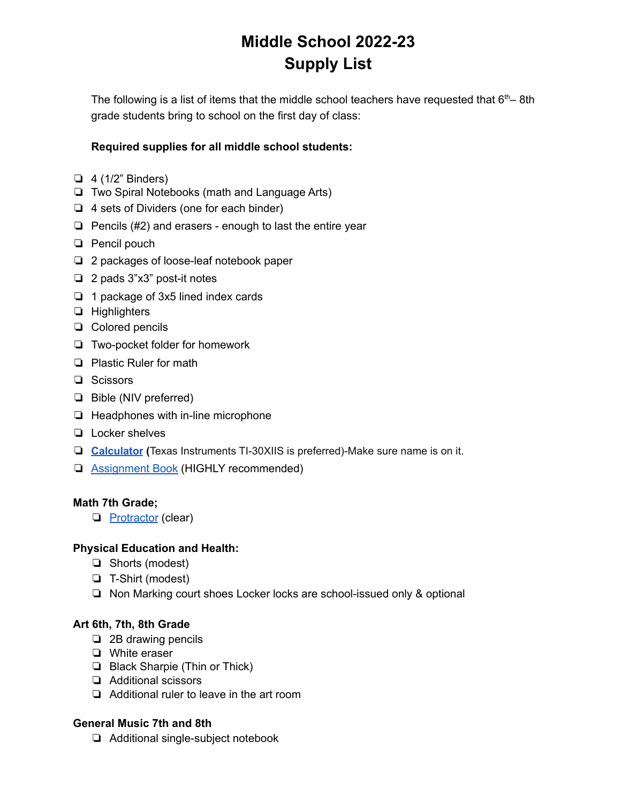# **Middle School 2022-23 Supply List**

The following is a list of items that the middle school teachers have requested that  $6<sup>th</sup>$ – 8th grade students bring to school on the first day of class:

## **Required supplies for all middle school students:**

- $\Box$  4 (1/2" Binders)
- ❏ Two Spiral Notebooks (math and Language Arts)
- ❏ 4 sets of Dividers (one for each binder)
- ❏ Pencils (#2) and erasers enough to last the entire year
- ❏ Pencil pouch
- ❏ 2 packages of loose-leaf notebook paper
- ❏ 2 pads 3"x3" post-it notes
- ❏ 1 package of 3x5 lined index cards
- ❏ Highlighters
- ❏ Colored pencils
- ❏ Two-pocket folder for homework
- ❏ Plastic Ruler for math
- ❏ Scissors
- ❏ Bible (NIV preferred)
- ❏ Headphones with in-line microphone
- ❏ Locker shelves
- ❏ **[Calculator](https://www.amazon.com/Texas-Instruments-Scientific-Calculator-Accents/dp/B00000JBNX?th=1) (**Texas Instruments TI-30XIIS is preferred)-Make sure name is on it.
- ❏ [Assignment](https://www.amazon.com/dp/B09S34HX3Y/ref=emc_b_5_i?th=1) Book (HIGHLY recommended)

## **Math 7th Grade;**

❏ [Protractor](https://www.amazon.com/eBoot-Plastic-Protractor-Protractors-Degrees/dp/B06XB3P2RR/ref=sr_1_3_sspa?crid=3E2LSYOLED77P&keywords=protractor&qid=1650989210&s=office-products&sprefix=protractor%2Coffice-products%2C100&sr=1-3-spons&psc=1&spLa=ZW5jcnlwdGVkUXVhbGlmaWVyPUEyRE5RRlQ1RTBFTUZVJmVuY3J5cHRlZElkPUEwNTU2Nzc4V1k2UlMzTk04TjBaJmVuY3J5cHRlZEFkSWQ9QTA0NzkxNzlITFdGVU5MVEI2N0gmd2lkZ2V0TmFtZT1zcF9hdGYmYWN0aW9uPWNsaWNrUmVkaXJlY3QmZG9Ob3RMb2dDbGljaz10cnVl) (clear)

## **Physical Education and Health:**

- ❏ Shorts (modest)
- ❏ T-Shirt (modest)
- ❏ Non Marking court shoes Locker locks are school-issued only & optional

## **Art 6th, 7th, 8th Grade**

- ❏ 2B drawing pencils
- ❏ White eraser
- ❏ Black Sharpie (Thin or Thick)
- ❏ Additional scissors
- ❏ Additional ruler to leave in the art room

## **General Music 7th and 8th**

❏ Additional single-subject notebook